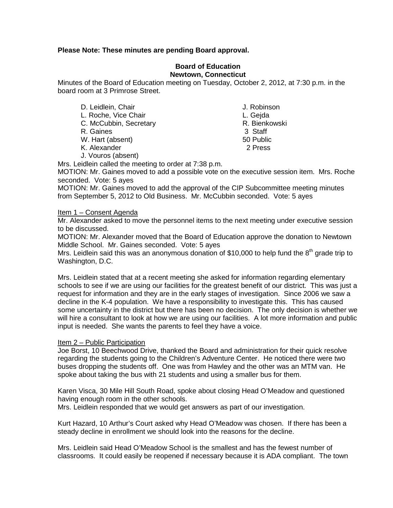# **Please Note: These minutes are pending Board approval.**

## **Board of Education Newtown, Connecticut**

Minutes of the Board of Education meeting on Tuesday, October 2, 2012, at 7:30 p.m. in the board room at 3 Primrose Street.

- D. Leidlein, Chair **J. Robinson** L. Roche, Vice Chair<br>C. McCubbin. Secretary C. McCubbin. Secretary L. Gejda C. McCubbin, Secretary **R. Bienkowski**n, Secretary **R. Bienkowskin**, Staff and R. Bienkowskin R. Gaines W. Hart (absent) 50 Public K. Alexander 2 Press J. Vouros (absent)
	-

Mrs. Leidlein called the meeting to order at 7:38 p.m.

MOTION: Mr. Gaines moved to add a possible vote on the executive session item. Mrs. Roche seconded. Vote: 5 ayes

MOTION: Mr. Gaines moved to add the approval of the CIP Subcommittee meeting minutes from September 5, 2012 to Old Business. Mr. McCubbin seconded. Vote: 5 ayes

## Item 1 – Consent Agenda

Mr. Alexander asked to move the personnel items to the next meeting under executive session to be discussed.

MOTION: Mr. Alexander moved that the Board of Education approve the donation to Newtown Middle School. Mr. Gaines seconded. Vote: 5 ayes

Mrs. Leidlein said this was an anonymous donation of \$10,000 to help fund the  $8<sup>th</sup>$  grade trip to Washington, D.C.

Mrs. Leidlein stated that at a recent meeting she asked for information regarding elementary schools to see if we are using our facilities for the greatest benefit of our district. This was just a request for information and they are in the early stages of investigation. Since 2006 we saw a decline in the K-4 population. We have a responsibility to investigate this. This has caused some uncertainty in the district but there has been no decision. The only decision is whether we will hire a consultant to look at how we are using our facilities. A lot more information and public input is needed. She wants the parents to feel they have a voice.

## Item 2 – Public Participation

Joe Borst, 10 Beechwood Drive, thanked the Board and administration for their quick resolve regarding the students going to the Children's Adventure Center. He noticed there were two buses dropping the students off. One was from Hawley and the other was an MTM van. He spoke about taking the bus with 21 students and using a smaller bus for them.

Karen Visca, 30 Mile Hill South Road, spoke about closing Head O'Meadow and questioned having enough room in the other schools.

Mrs. Leidlein responded that we would get answers as part of our investigation.

Kurt Hazard, 10 Arthur's Court asked why Head O'Meadow was chosen. If there has been a steady decline in enrollment we should look into the reasons for the decline.

Mrs. Leidlein said Head O'Meadow School is the smallest and has the fewest number of classrooms. It could easily be reopened if necessary because it is ADA compliant. The town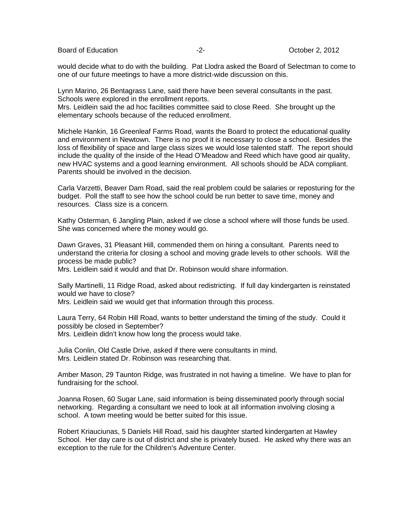Board of Education  $\overline{c}$  -2-  $\overline{c}$  -2- October 2, 2012

would decide what to do with the building. Pat Llodra asked the Board of Selectman to come to one of our future meetings to have a more district-wide discussion on this.

Lynn Marino, 26 Bentagrass Lane, said there have been several consultants in the past. Schools were explored in the enrollment reports.

Mrs. Leidlein said the ad hoc facilities committee said to close Reed. She brought up the elementary schools because of the reduced enrollment.

Michele Hankin, 16 Greenleaf Farms Road, wants the Board to protect the educational quality and environment in Newtown. There is no proof it is necessary to close a school. Besides the loss of flexibility of space and large class sizes we would lose talented staff. The report should include the quality of the inside of the Head O'Meadow and Reed which have good air quality, new HVAC systems and a good learning environment. All schools should be ADA compliant. Parents should be involved in the decision.

Carla Varzetti, Beaver Dam Road, said the real problem could be salaries or reposturing for the budget. Poll the staff to see how the school could be run better to save time, money and resources. Class size is a concern.

Kathy Osterman, 6 Jangling Plain, asked if we close a school where will those funds be used. She was concerned where the money would go.

Dawn Graves, 31 Pleasant Hill, commended them on hiring a consultant. Parents need to understand the criteria for closing a school and moving grade levels to other schools. Will the process be made public?

Mrs. Leidlein said it would and that Dr. Robinson would share information.

Sally Martinelli, 11 Ridge Road, asked about redistricting. If full day kindergarten is reinstated would we have to close?

Mrs. Leidlein said we would get that information through this process.

Laura Terry, 64 Robin Hill Road, wants to better understand the timing of the study. Could it possibly be closed in September?

Mrs. Leidlein didn't know how long the process would take.

Julia Conlin, Old Castle Drive, asked if there were consultants in mind. Mrs. Leidlein stated Dr. Robinson was researching that.

Amber Mason, 29 Taunton Ridge, was frustrated in not having a timeline. We have to plan for fundraising for the school.

Joanna Rosen, 60 Sugar Lane, said information is being disseminated poorly through social networking. Regarding a consultant we need to look at all information involving closing a school. A town meeting would be better suited for this issue.

Robert Kriauciunas, 5 Daniels Hill Road, said his daughter started kindergarten at Hawley School. Her day care is out of district and she is privately bused. He asked why there was an exception to the rule for the Children's Adventure Center.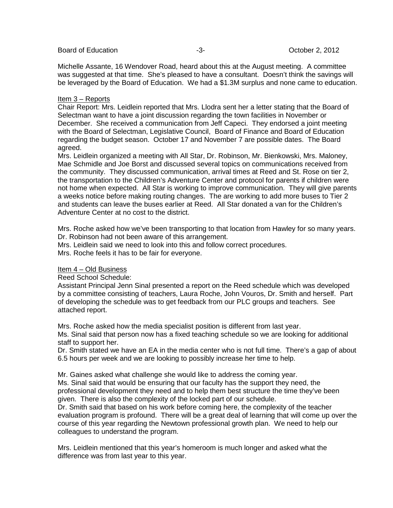Michelle Assante, 16 Wendover Road, heard about this at the August meeting. A committee was suggested at that time. She's pleased to have a consultant. Doesn't think the savings will be leveraged by the Board of Education. We had a \$1.3M surplus and none came to education.

# Item 3 – Reports

Chair Report: Mrs. Leidlein reported that Mrs. Llodra sent her a letter stating that the Board of Selectman want to have a joint discussion regarding the town facilities in November or December. She received a communication from Jeff Capeci. They endorsed a joint meeting with the Board of Selectman, Legislative Council, Board of Finance and Board of Education regarding the budget season. October 17 and November 7 are possible dates. The Board agreed.

Mrs. Leidlein organized a meeting with All Star, Dr. Robinson, Mr. Bienkowski, Mrs. Maloney, Mae Schmidle and Joe Borst and discussed several topics on communications received from the community. They discussed communication, arrival times at Reed and St. Rose on tier 2, the transportation to the Children's Adventure Center and protocol for parents if children were not home when expected. All Star is working to improve communication. They will give parents a weeks notice before making routing changes. The are working to add more buses to Tier 2 and students can leave the buses earlier at Reed. All Star donated a van for the Children's Adventure Center at no cost to the district.

Mrs. Roche asked how we've been transporting to that location from Hawley for so many years. Dr. Robinson had not been aware of this arrangement.

Mrs. Leidlein said we need to look into this and follow correct procedures.

Mrs. Roche feels it has to be fair for everyone.

## Item 4 – Old Business

Reed School Schedule:

Assistant Principal Jenn Sinal presented a report on the Reed schedule which was developed by a committee consisting of teachers, Laura Roche, John Vouros, Dr. Smith and herself. Part of developing the schedule was to get feedback from our PLC groups and teachers. See attached report.

Mrs. Roche asked how the media specialist position is different from last year. Ms. Sinal said that person now has a fixed teaching schedule so we are looking for additional staff to support her.

Dr. Smith stated we have an EA in the media center who is not full time. There's a gap of about 6.5 hours per week and we are looking to possibly increase her time to help.

Mr. Gaines asked what challenge she would like to address the coming year. Ms. Sinal said that would be ensuring that our faculty has the support they need, the professional development they need and to help them best structure the time they've been given. There is also the complexity of the locked part of our schedule.

Dr. Smith said that based on his work before coming here, the complexity of the teacher evaluation program is profound. There will be a great deal of learning that will come up over the course of this year regarding the Newtown professional growth plan. We need to help our colleagues to understand the program.

Mrs. Leidlein mentioned that this year's homeroom is much longer and asked what the difference was from last year to this year.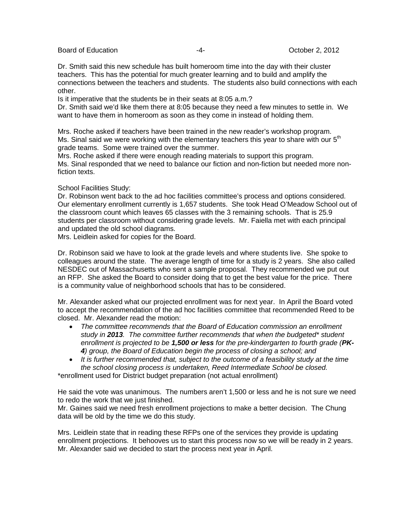Board of Education  $-4$ -  $-4$ - October 2, 2012

Dr. Smith said this new schedule has built homeroom time into the day with their cluster teachers. This has the potential for much greater learning and to build and amplify the connections between the teachers and students. The students also build connections with each other.

Is it imperative that the students be in their seats at 8:05 a.m.?

Dr. Smith said we'd like them there at 8:05 because they need a few minutes to settle in. We want to have them in homeroom as soon as they come in instead of holding them.

Mrs. Roche asked if teachers have been trained in the new reader's workshop program. Ms. Sinal said we were working with the elementary teachers this year to share with our  $5<sup>th</sup>$ grade teams. Some were trained over the summer.

Mrs. Roche asked if there were enough reading materials to support this program. Ms. Sinal responded that we need to balance our fiction and non-fiction but needed more nonfiction texts.

# School Facilities Study:

Dr. Robinson went back to the ad hoc facilities committee's process and options considered. Our elementary enrollment currently is 1,657 students. She took Head O'Meadow School out of the classroom count which leaves 65 classes with the 3 remaining schools. That is 25.9 students per classroom without considering grade levels. Mr. Faiella met with each principal and updated the old school diagrams.

Mrs. Leidlein asked for copies for the Board.

Dr. Robinson said we have to look at the grade levels and where students live. She spoke to colleagues around the state. The average length of time for a study is 2 years. She also called NESDEC out of Massachusetts who sent a sample proposal. They recommended we put out an RFP. She asked the Board to consider doing that to get the best value for the price. There is a community value of neighborhood schools that has to be considered.

Mr. Alexander asked what our projected enrollment was for next year. In April the Board voted to accept the recommendation of the ad hoc facilities committee that recommended Reed to be closed. Mr. Alexander read the motion:

- *The committee recommends that the Board of Education commission an enrollment study in 2013. The committee further recommends that when the budgeted\* student enrollment is projected to be 1,500 or less for the pre-kindergarten to fourth grade (PK-4) group, the Board of Education begin the process of closing a school; and*
- *It is further recommended that, subject to the outcome of a feasibility study at the time the school closing process is undertaken, Reed Intermediate School be closed.*

\*enrollment used for District budget preparation (not actual enrollment)

He said the vote was unanimous. The numbers aren't 1,500 or less and he is not sure we need to redo the work that we just finished.

Mr. Gaines said we need fresh enrollment projections to make a better decision. The Chung data will be old by the time we do this study.

Mrs. Leidlein state that in reading these RFPs one of the services they provide is updating enrollment projections. It behooves us to start this process now so we will be ready in 2 years. Mr. Alexander said we decided to start the process next year in April.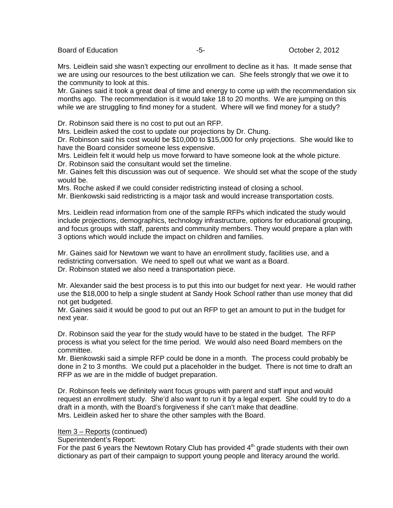Board of Education  $-5$ -  $-5$ -  $-5$ - October 2, 2012

Mrs. Leidlein said she wasn't expecting our enrollment to decline as it has. It made sense that we are using our resources to the best utilization we can. She feels strongly that we owe it to the community to look at this.

Mr. Gaines said it took a great deal of time and energy to come up with the recommendation six months ago. The recommendation is it would take 18 to 20 months. We are jumping on this while we are struggling to find money for a student. Where will we find money for a study?

Dr. Robinson said there is no cost to put out an RFP.

Mrs. Leidlein asked the cost to update our projections by Dr. Chung.

Dr. Robinson said his cost would be \$10,000 to \$15,000 for only projections. She would like to have the Board consider someone less expensive.

Mrs. Leidlein felt it would help us move forward to have someone look at the whole picture.

Dr. Robinson said the consultant would set the timeline.

Mr. Gaines felt this discussion was out of sequence. We should set what the scope of the study would be.

Mrs. Roche asked if we could consider redistricting instead of closing a school.

Mr. Bienkowski said redistricting is a major task and would increase transportation costs.

Mrs. Leidlein read information from one of the sample RFPs which indicated the study would include projections, demographics, technology infrastructure, options for educational grouping, and focus groups with staff, parents and community members. They would prepare a plan with 3 options which would include the impact on children and families.

Mr. Gaines said for Newtown we want to have an enrollment study, facilities use, and a redistricting conversation. We need to spell out what we want as a Board. Dr. Robinson stated we also need a transportation piece.

Mr. Alexander said the best process is to put this into our budget for next year. He would rather use the \$18,000 to help a single student at Sandy Hook School rather than use money that did not get budgeted.

Mr. Gaines said it would be good to put out an RFP to get an amount to put in the budget for next year.

Dr. Robinson said the year for the study would have to be stated in the budget. The RFP process is what you select for the time period. We would also need Board members on the committee.

Mr. Bienkowski said a simple RFP could be done in a month. The process could probably be done in 2 to 3 months. We could put a placeholder in the budget. There is not time to draft an RFP as we are in the middle of budget preparation.

Dr. Robinson feels we definitely want focus groups with parent and staff input and would request an enrollment study. She'd also want to run it by a legal expert. She could try to do a draft in a month, with the Board's forgiveness if she can't make that deadline. Mrs. Leidlein asked her to share the other samples with the Board.

Item 3 – Reports (continued)

Superintendent's Report:

For the past 6 years the Newtown Rotary Club has provided  $4<sup>th</sup>$  grade students with their own dictionary as part of their campaign to support young people and literacy around the world.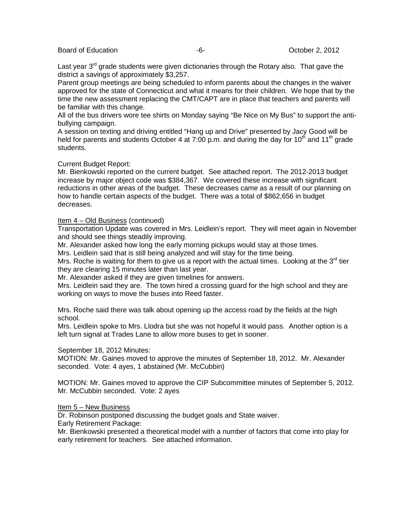## Board of Education  $-6 -6-$  October 2, 2012

Last year  $3<sup>rd</sup>$  grade students were given dictionaries through the Rotary also. That gave the district a savings of approximately \$3,257.

Parent group meetings are being scheduled to inform parents about the changes in the waiver approved for the state of Connecticut and what it means for their children. We hope that by the time the new assessment replacing the CMT/CAPT are in place that teachers and parents will be familiar with this change.

All of the bus drivers wore tee shirts on Monday saying "Be Nice on My Bus" to support the antibullying campaign.

A session on texting and driving entitled "Hang up and Drive" presented by Jacy Good will be held for parents and students October 4 at 7:00 p.m. and during the day for 10<sup>th</sup> and 11<sup>th</sup> grade students.

# Current Budget Report:

Mr. Bienkowski reported on the current budget. See attached report. The 2012-2013 budget increase by major object code was \$384,367. We covered these increase with significant reductions in other areas of the budget. These decreases came as a result of our planning on how to handle certain aspects of the budget. There was a total of \$862,656 in budget decreases.

Item 4 – Old Business (continued)

Transportation Update was covered in Mrs. Leidlein's report. They will meet again in November and should see things steadily improving.

Mr. Alexander asked how long the early morning pickups would stay at those times.

Mrs. Leidlein said that is still being analyzed and will stay for the time being.

Mrs. Roche is waiting for them to give us a report with the actual times. Looking at the  $3<sup>rd</sup>$  tier they are clearing 15 minutes later than last year.

Mr. Alexander asked if they are given timelines for answers.

Mrs. Leidlein said they are. The town hired a crossing guard for the high school and they are working on ways to move the buses into Reed faster.

Mrs. Roche said there was talk about opening up the access road by the fields at the high school.

Mrs. Leidlein spoke to Mrs. Llodra but she was not hopeful it would pass. Another option is a left turn signal at Trades Lane to allow more buses to get in sooner.

## September 18, 2012 Minutes:

MOTION: Mr. Gaines moved to approve the minutes of September 18, 2012. Mr. Alexander seconded. Vote: 4 ayes, 1 abstained (Mr. McCubbin)

MOTION: Mr. Gaines moved to approve the CIP Subcommittee minutes of September 5, 2012. Mr. McCubbin seconded. Vote: 2 ayes

## Item 5 – New Business

Dr. Robinson postponed discussing the budget goals and State waiver.

Early Retirement Package:

Mr. Bienkowski presented a theoretical model with a number of factors that come into play for early retirement for teachers. See attached information.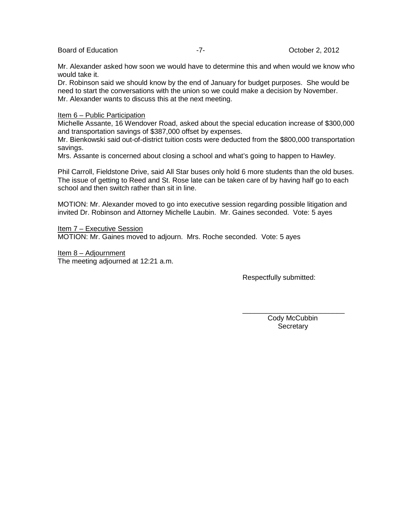## Board of Education **-7-** T- Board of Education **-7-** 2012

Mr. Alexander asked how soon we would have to determine this and when would we know who would take it.

Dr. Robinson said we should know by the end of January for budget purposes. She would be need to start the conversations with the union so we could make a decision by November. Mr. Alexander wants to discuss this at the next meeting.

## Item 6 – Public Participation

Michelle Assante, 16 Wendover Road, asked about the special education increase of \$300,000 and transportation savings of \$387,000 offset by expenses.

Mr. Bienkowski said out-of-district tuition costs were deducted from the \$800,000 transportation savings.

Mrs. Assante is concerned about closing a school and what's going to happen to Hawley.

Phil Carroll, Fieldstone Drive, said All Star buses only hold 6 more students than the old buses. The issue of getting to Reed and St. Rose late can be taken care of by having half go to each school and then switch rather than sit in line.

MOTION: Mr. Alexander moved to go into executive session regarding possible litigation and invited Dr. Robinson and Attorney Michelle Laubin. Mr. Gaines seconded. Vote: 5 ayes

Item 7 – Executive Session MOTION: Mr. Gaines moved to adjourn. Mrs. Roche seconded. Vote: 5 ayes

Item 8 – Adjournment The meeting adjourned at 12:21 a.m.

Respectfully submitted:

\_\_\_\_\_\_\_\_\_\_\_\_\_\_\_\_\_\_\_\_\_\_\_\_\_\_ Cody McCubbin **Secretary**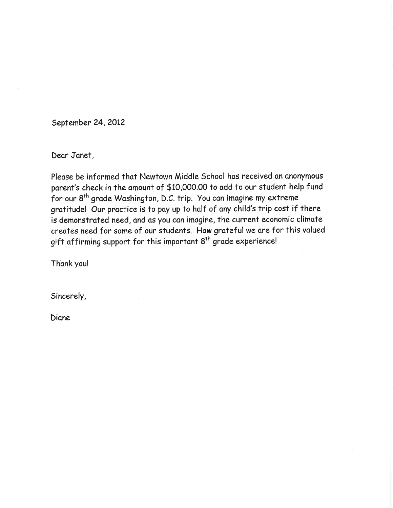September 24, 2012

Dear Janet,

Please be informed that Newtown Middle School has received an anonymous parent's check in the amount of \$10,000.00 to add to our student help fund for our 8<sup>th</sup> grade Washington, D.C. trip. You can imagine my extreme gratitude! Our practice is to pay up to half of any child's trip cost if there is demonstrated need, and as you can imagine, the current economic climate creates need for some of our students. How grateful we are for this valued gift affirming support for this important 8<sup>th</sup> grade experience!

Thank you!

Sincerely,

Diane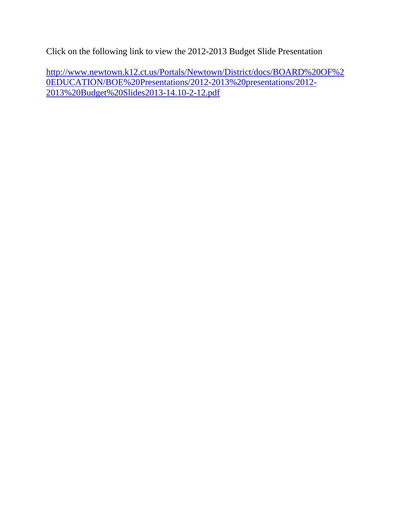Click on the following link to view the 2012-2013 Budget Slide Presentation

[http://www.newtown.k12.ct.us/Portals/Newtown/District/docs/BOARD%20OF%2](http://www.newtown.k12.ct.us/Portals/Newtown/District/docs/BOARD%20OF%20EDUCATION/BOE%20Presentations/2012-2013%20presentations/2012-2013%20Budget%20Slides2013-14.10-2-12.pdf) [0EDUCATION/BOE%20Presentations/2012-2013%20presentations/2012-](http://www.newtown.k12.ct.us/Portals/Newtown/District/docs/BOARD%20OF%20EDUCATION/BOE%20Presentations/2012-2013%20presentations/2012-2013%20Budget%20Slides2013-14.10-2-12.pdf) [2013%20Budget%20Slides2013-14.10-2-12.pdf](http://www.newtown.k12.ct.us/Portals/Newtown/District/docs/BOARD%20OF%20EDUCATION/BOE%20Presentations/2012-2013%20presentations/2012-2013%20Budget%20Slides2013-14.10-2-12.pdf)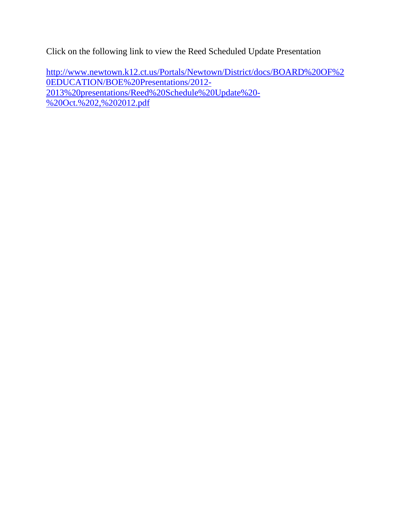Click on the following link to view the Reed Scheduled Update Presentation

[http://www.newtown.k12.ct.us/Portals/Newtown/District/docs/BOARD%20OF%2](http://www.newtown.k12.ct.us/Portals/Newtown/District/docs/BOARD%20OF%20EDUCATION/BOE%20Presentations/2012-2013%20presentations/Reed%20Schedule%20Update%20-%20Oct.%202,%202012.pdf) [0EDUCATION/BOE%20Presentations/2012-](http://www.newtown.k12.ct.us/Portals/Newtown/District/docs/BOARD%20OF%20EDUCATION/BOE%20Presentations/2012-2013%20presentations/Reed%20Schedule%20Update%20-%20Oct.%202,%202012.pdf) [2013%20presentations/Reed%20Schedule%20Update%20-](http://www.newtown.k12.ct.us/Portals/Newtown/District/docs/BOARD%20OF%20EDUCATION/BOE%20Presentations/2012-2013%20presentations/Reed%20Schedule%20Update%20-%20Oct.%202,%202012.pdf) [%20Oct.%202,%202012.pdf](http://www.newtown.k12.ct.us/Portals/Newtown/District/docs/BOARD%20OF%20EDUCATION/BOE%20Presentations/2012-2013%20presentations/Reed%20Schedule%20Update%20-%20Oct.%202,%202012.pdf)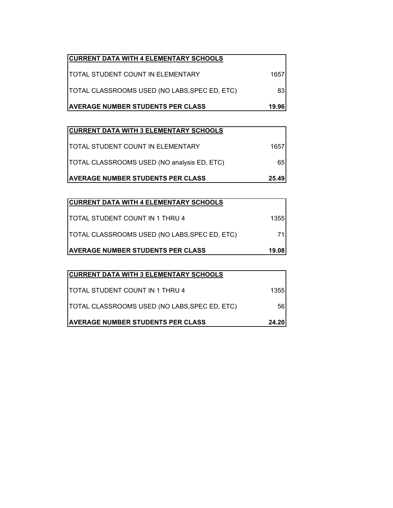| <b>CURRENT DATA WITH 4 ELEMENTARY SCHOOLS</b> |       |
|-----------------------------------------------|-------|
| <b>ITOTAL STUDENT COUNT IN ELEMENTARY</b>     | 1657  |
| TOTAL CLASSROOMS USED (NO LABS, SPEC ED, ETC) | 83    |
| <b>AVERAGE NUMBER STUDENTS PER CLASS</b>      | 19.96 |

| <b>CURRENT DATA WITH 3 ELEMENTARY SCHOOLS</b> |       |
|-----------------------------------------------|-------|
| <b> TOTAL STUDENT COUNT IN ELEMENTARY</b>     | 1657  |
| TOTAL CLASSROOMS USED (NO analysis ED, ETC)   | 65    |
| <b>AVERAGE NUMBER STUDENTS PER CLASS</b>      | 25.49 |

| <b>CURRENT DATA WITH 4 ELEMENTARY SCHOOLS</b> |       |
|-----------------------------------------------|-------|
| <b>ITOTAL STUDENT COUNT IN 1 THRU 4</b>       | 1355  |
| TOTAL CLASSROOMS USED (NO LABS, SPEC ED, ETC) |       |
| <b>AVERAGE NUMBER STUDENTS PER CLASS</b>      | 19.08 |

| <b>CURRENT DATA WITH 3 ELEMENTARY SCHOOLS</b> |       |
|-----------------------------------------------|-------|
| <b>ITOTAL STUDENT COUNT IN 1 THRU 4</b>       | 13551 |
| TOTAL CLASSROOMS USED (NO LABS, SPEC ED, ETC) | 56    |
| <b>AVERAGE NUMBER STUDENTS PER CLASS</b>      | 24.20 |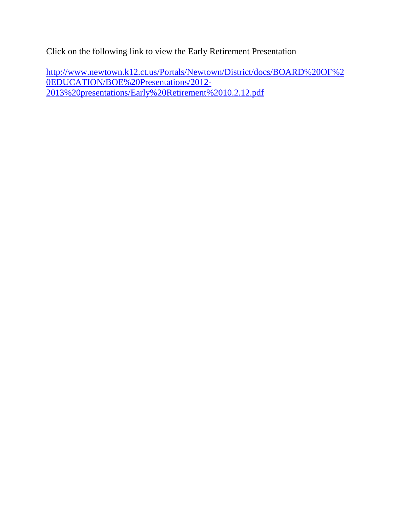Click on the following link to view the Early Retirement Presentation

[http://www.newtown.k12.ct.us/Portals/Newtown/District/docs/BOARD%20OF%2](http://www.newtown.k12.ct.us/Portals/Newtown/District/docs/BOARD%20OF%20EDUCATION/BOE%20Presentations/2012-2013%20presentations/Early%20Retirement%2010.2.12.pdf) [0EDUCATION/BOE%20Presentations/2012-](http://www.newtown.k12.ct.us/Portals/Newtown/District/docs/BOARD%20OF%20EDUCATION/BOE%20Presentations/2012-2013%20presentations/Early%20Retirement%2010.2.12.pdf) [2013%20presentations/Early%20Retirement%2010.2.12.pdf](http://www.newtown.k12.ct.us/Portals/Newtown/District/docs/BOARD%20OF%20EDUCATION/BOE%20Presentations/2012-2013%20presentations/Early%20Retirement%2010.2.12.pdf)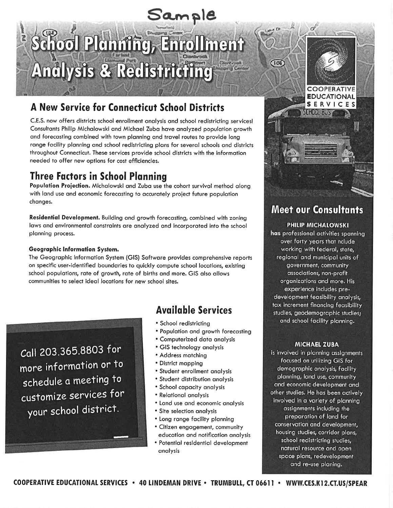# Sample

# School Plannting, Enrollment **Analysis & Redistricting**

# A New Service for Connecticut School Districts

C.E.S. now offers districts school enrollment analysis and school redistricting services! Consultants Philip Michalowski and Michael Zuba have analyzed population growth and forecasting combined with town planning and travel routes to provide long range facility planning and school redistricting plans for several schools and districts throughout Connecticut. These services provide school districts with the information needed to offer new options for cost efficiencies.

# **Three Factors in School Planning**

Population Projection. Michalowski and Zuba use the cohort survival method along with land use and economic forecasting to accurately project future population changes.

Residential Development. Building and growth forecasting, combined with zoning laws and environmental constraints are analyzed and incorporated into the school planning process.

# Geographic Information System.

The Geographic Information System (GIS) Software provides comprehensive reports on specific user-identified boundaries to quickly compute school locations, existing school populations, rate of growth, rate of births and more. GIS also allows communities to select ideal locations for new school sites.

Call 203.365.8803 for more information or to schedule a meeting to customize services for your school district.

# **Available Services**

- School redistricting
- Population and growth forecasting
- Computerized data analysis
- GIS technology analysis
- Address matching
- District mapping
- Student enrollment analysis
- Student distribution analysis
- School capacity analysis
- Relational analysis
- Land use and economic analysis
- Site selection analysis
- Long range facility planning • Citizen engagement, community
- education and notification analysis • Potential residential development
- analysis

# **Meet our Consultants**

**COOPERATIVE EDUCATIONAL** SERVICES

W

SCHOOL BUST

 $\sqrt{100}$ 

# **PHILIP MICHALOWSKI**

has professional activities spanning over forty years that nclude working with federal, state, regional and municipal units of government, community associations, non-profit organizations and more. His experience includes predevelopment feasibility analysis, tax increment financing feasibility studies, geodemographic studies; and school facility planning.

# **MICHAEL ZUBA**

is involved in planning assignments focused on utilizing GIS for demographic analysis, facility planning, land use, community and economic development and other studies. He has been actively involved in a variety of planning assignments including the preparation of land for conservation and development, housing studies, corridor plans, school redistricting studies, natural resource and open space plans, redevelopment and re-use planing.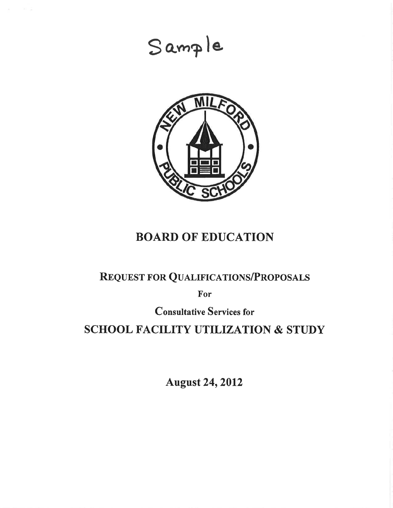# Sample



# **BOARD OF EDUCATION**

# **REQUEST FOR QUALIFICATIONS/PROPOSALS**

For

**Consultative Services for** 

# **SCHOOL FACILITY UTILIZATION & STUDY**

**August 24, 2012**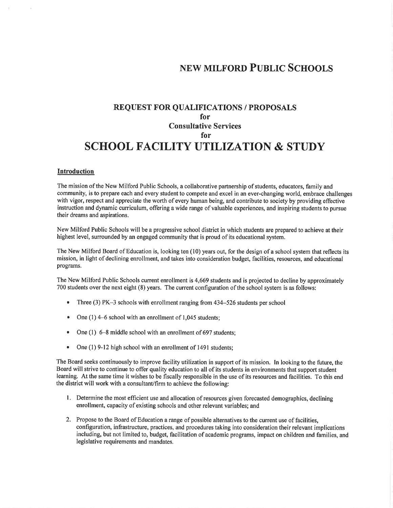# **NEW MILFORD PUBLIC SCHOOLS**

# **REQUEST FOR QUALIFICATIONS / PROPOSALS** for **Consultative Services** for **SCHOOL FACILITY UTILIZATION & STUDY**

#### Introduction

The mission of the New Milford Public Schools, a collaborative partnership of students, educators, family and community, is to prepare each and every student to compete and excel in an ever-changing world, embrace challenges with vigor, respect and appreciate the worth of every human being, and contribute to society by providing effective instruction and dynamic curriculum, offering a wide range of valuable experiences, and inspiring students to pursue their dreams and aspirations.

New Milford Public Schools will be a progressive school district in which students are prepared to achieve at their highest level, surrounded by an engaged community that is proud of its educational system.

The New Milford Board of Education is, looking ten (10) years out, for the design of a school system that reflects its mission, in light of declining enrollment, and takes into consideration budget, facilities, resources, and educational programs.

The New Milford Public Schools current enrollment is 4,669 students and is projected to decline by approximately 700 students over the next eight (8) years. The current configuration of the school system is as follows:

- $\bullet$ Three  $(3)$  PK $-3$  schools with enrollment ranging from 434-526 students per school
- One  $(1)$  4–6 school with an enrollment of 1,045 students; ۰
- One  $(1)$  6–8 middle school with an enrollment of 697 students;
- One (1) 9-12 high school with an enrollment of 1491 students;

The Board seeks continuously to improve facility utilization in support of its mission. In looking to the future, the Board will strive to continue to offer quality education to all of its students in environments that support student learning. At the same time it wishes to be fiscally responsible in the use of its resources and facilities. To this end the district will work with a consultant/firm to achieve the following:

- 1. Determine the most efficient use and allocation of resources given forecasted demographics, declining enrollment, capacity of existing schools and other relevant variables; and
- 2. Propose to the Board of Education a range of possible alternatives to the current use of facilities, configuration, infrastructure, practices, and procedures taking into consideration their relevant implications including, but not limited to, budget, facilitation of academic programs, impact on children and families, and legislative requirements and mandates.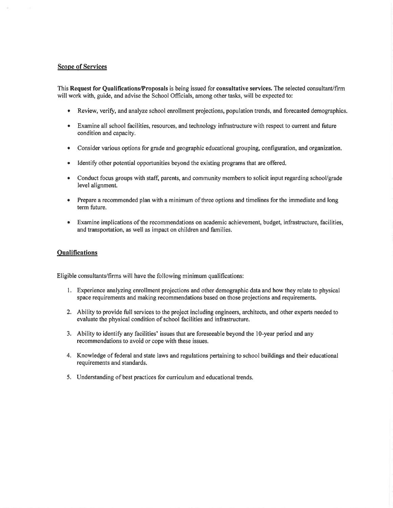### **Scope of Services**

This Request for Qualifications/Proposals is being issued for consultative services. The selected consultant/firm will work with, guide, and advise the School Officials, among other tasks, will be expected to:

- Review, verify, and analyze school enrollment projections, population trends, and forecasted demographics.
- Examine all school facilities, resources, and technology infrastructure with respect to current and future condition and capacity.
- Consider various options for grade and geographic educational grouping, configuration, and organization.  $\bullet$
- Identify other potential opportunities beyond the existing programs that are offered.  $\bullet$
- Conduct focus groups with staff, parents, and community members to solicit input regarding school/grade level alignment.
- $\bullet$ Prepare a recommended plan with a minimum of three options and timelines for the immediate and long term future.
- Examine implications of the recommendations on academic achievement, budget, infrastructure, facilities,  $\bullet$ and transportation, as well as impact on children and families.

#### **Qualifications**

Eligible consultants/firms will have the following minimum qualifications:

- 1. Experience analyzing enrollment projections and other demographic data and how they relate to physical space requirements and making recommendations based on those projections and requirements.
- 2. Ability to provide full services to the project including engineers, architects, and other experts needed to evaluate the physical condition of school facilities and infrastructure.
- 3. Ability to identify any facilities' issues that are foreseeable beyond the 10-year period and any recommendations to avoid or cope with these issues.
- 4. Knowledge of federal and state laws and regulations pertaining to school buildings and their educational requirements and standards.
- 5. Understanding of best practices for curriculum and educational trends.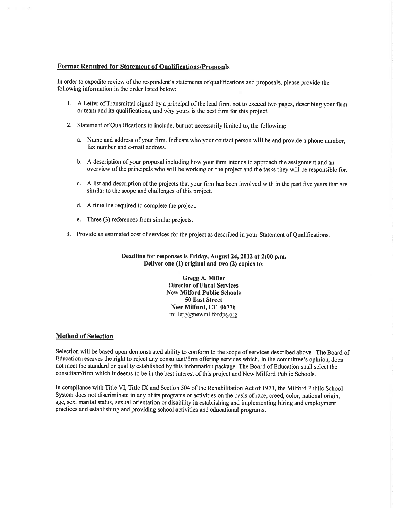### **Format Required for Statement of Qualifications/Proposals**

In order to expedite review of the respondent's statements of qualifications and proposals, please provide the following information in the order listed below:

- 1. A Letter of Transmittal signed by a principal of the lead firm, not to exceed two pages, describing your firm or team and its qualifications, and why yours is the best firm for this project.
- 2. Statement of Qualifications to include, but not necessarily limited to, the following:
	- a. Name and address of your firm. Indicate who your contact person will be and provide a phone number, fax number and e-mail address.
	- b. A description of your proposal including how your firm intends to approach the assignment and an overview of the principals who will be working on the project and the tasks they will be responsible for.
	- c. A list and description of the projects that your firm has been involved with in the past five years that are similar to the scope and challenges of this project.
	- d. A timeline required to complete the project.
	- e. Three (3) references from similar projects.
- 3. Provide an estimated cost of services for the project as described in your Statement of Qualifications.

Deadline for responses is Friday, August 24, 2012 at 2:00 p.m. Deliver one (1) original and two (2) copies to:

> Gregg A. Miller **Director of Fiscal Services New Milford Public Schools** 50 East Street New Milford, CT 06776 millerg@newmilfordps.org

#### **Method of Selection**

Selection will be based upon demonstrated ability to conform to the scope of services described above. The Board of Education reserves the right to reject any consultant/firm offering services which, in the committee's opinion, does not meet the standard or quality established by this information package. The Board of Education shall select the consultant/firm which it deems to be in the best interest of this project and New Milford Public Schools.

In compliance with Title VI, Title IX and Section 504 of the Rehabilitation Act of 1973, the Milford Public School System does not discriminate in any of its programs or activities on the basis of race, creed, color, national origin, age, sex, marital status, sexual orientation or disability in establishing and implementing hiring and employment practices and establishing and providing school activities and educational programs.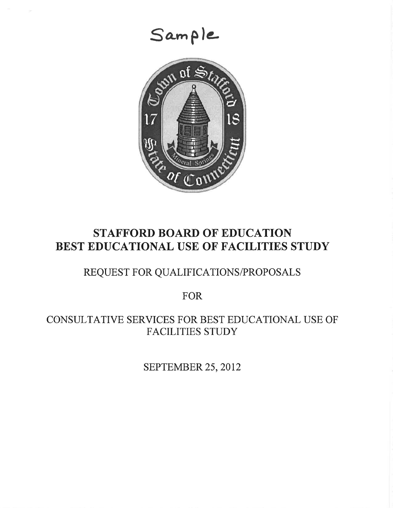

# **STAFFORD BOARD OF EDUCATION** BEST EDUCATIONAL USE OF FACILITIES STUDY

# REQUEST FOR QUALIFICATIONS/PROPOSALS

**FOR** 

CONSULTATIVE SERVICES FOR BEST EDUCATIONAL USE OF **FACILITIES STUDY** 

SEPTEMBER 25, 2012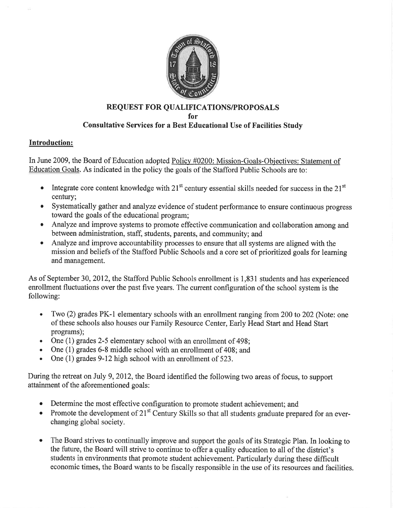

# **REQUEST FOR QUALIFICATIONS/PROPOSALS** for **Consultative Services for a Best Educational Use of Facilities Study**

# **Introduction:**

In June 2009, the Board of Education adopted Policy #0200: Mission-Goals-Objectives: Statement of Education Goals. As indicated in the policy the goals of the Stafford Public Schools are to:

- Integrate core content knowledge with  $21<sup>st</sup>$  century essential skills needed for success in the  $21<sup>st</sup>$ century:
- Systematically gather and analyze evidence of student performance to ensure continuous progress toward the goals of the educational program;
- Analyze and improve systems to promote effective communication and collaboration among and between administration, staff, students, parents, and community; and
- Analyze and improve accountability processes to ensure that all systems are aligned with the  $\bullet$ mission and beliefs of the Stafford Public Schools and a core set of prioritized goals for learning and management.

As of September 30, 2012, the Stafford Public Schools enrollment is 1,831 students and has experienced enrollment fluctuations over the past five years. The current configuration of the school system is the following:

- Two (2) grades PK-1 elementary schools with an enrollment ranging from 200 to 202 (Note: one  $\bullet$ of these schools also houses our Family Resource Center, Early Head Start and Head Start programs);
- One (1) grades 2-5 elementary school with an enrollment of 498;
- One (1) grades 6-8 middle school with an enrollment of 408; and  $\bullet$
- One (1) grades 9-12 high school with an enrollment of 523.  $\bullet$

During the retreat on July 9, 2012, the Board identified the following two areas of focus, to support attainment of the aforementioned goals:

- Determine the most effective configuration to promote student achievement; and
- Promote the development of  $21<sup>st</sup>$  Century Skills so that all students graduate prepared for an everchanging global society.
- $\bullet$ The Board strives to continually improve and support the goals of its Strategic Plan. In looking to the future, the Board will strive to continue to offer a quality education to all of the district's students in environments that promote student achievement. Particularly during these difficult economic times, the Board wants to be fiscally responsible in the use of its resources and facilities.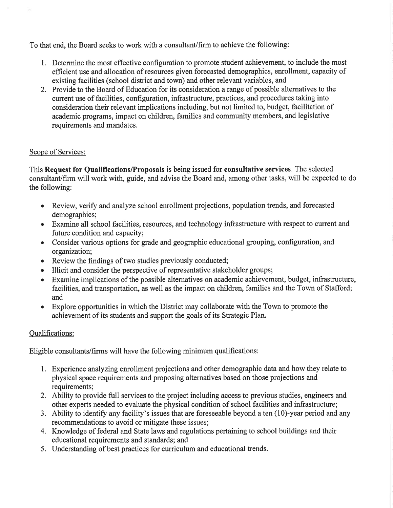To that end, the Board seeks to work with a consultant/firm to achieve the following:

- 1. Determine the most effective configuration to promote student achievement, to include the most efficient use and allocation of resources given forecasted demographics, enrollment, capacity of existing facilities (school district and town) and other relevant variables, and
- 2. Provide to the Board of Education for its consideration a range of possible alternatives to the current use of facilities, configuration, infrastructure, practices, and procedures taking into consideration their relevant implications including, but not limited to, budget, facilitation of academic programs, impact on children, families and community members, and legislative requirements and mandates.

# Scope of Services:

This Request for Qualifications/Proposals is being issued for consultative services. The selected consultant/firm will work with, guide, and advise the Board and, among other tasks, will be expected to do the following:

- Review, verify and analyze school enrollment projections, population trends, and forecasted demographics;
- Examine all school facilities, resources, and technology infrastructure with respect to current and future condition and capacity;
- Consider various options for grade and geographic educational grouping, configuration, and  $\bullet$ organization;
- Review the findings of two studies previously conducted;  $\bullet$
- Illicit and consider the perspective of representative stakeholder groups;  $\bullet$
- Examine implications of the possible alternatives on academic achievement, budget, infrastructure, facilities, and transportation, as well as the impact on children, families and the Town of Stafford; and
- Explore opportunities in which the District may collaborate with the Town to promote the  $\bullet$ achievement of its students and support the goals of its Strategic Plan.

# **Oualifications:**

Eligible consultants/firms will have the following minimum qualifications:

- 1. Experience analyzing enrollment projections and other demographic data and how they relate to physical space requirements and proposing alternatives based on those projections and requirements:
- 2. Ability to provide full services to the project including access to previous studies, engineers and other experts needed to evaluate the physical condition of school facilities and infrastructure;
- 3. Ability to identify any facility's issues that are foreseeable beyond a ten (10)-year period and any recommendations to avoid or mitigate these issues;
- 4. Knowledge of federal and State laws and regulations pertaining to school buildings and their educational requirements and standards; and
- 5. Understanding of best practices for curriculum and educational trends.